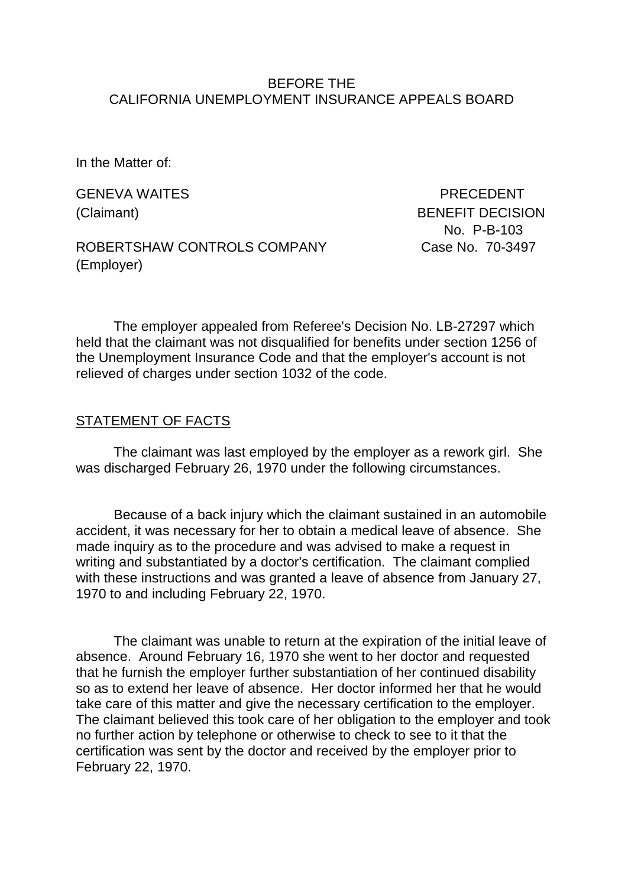#### BEFORE THE CALIFORNIA UNEMPLOYMENT INSURANCE APPEALS BOARD

In the Matter of:

GENEVA WAITES **EXECUTES PRECEDENT** 

(Claimant) BENEFIT DECISION No. P-B-103

ROBERTSHAW CONTROLS COMPANY Case No. 70-3497 (Employer)

The employer appealed from Referee's Decision No. LB-27297 which held that the claimant was not disqualified for benefits under section 1256 of the Unemployment Insurance Code and that the employer's account is not relieved of charges under section 1032 of the code.

#### STATEMENT OF FACTS

The claimant was last employed by the employer as a rework girl. She was discharged February 26, 1970 under the following circumstances.

Because of a back injury which the claimant sustained in an automobile accident, it was necessary for her to obtain a medical leave of absence. She made inquiry as to the procedure and was advised to make a request in writing and substantiated by a doctor's certification. The claimant complied with these instructions and was granted a leave of absence from January 27, 1970 to and including February 22, 1970.

The claimant was unable to return at the expiration of the initial leave of absence. Around February 16, 1970 she went to her doctor and requested that he furnish the employer further substantiation of her continued disability so as to extend her leave of absence. Her doctor informed her that he would take care of this matter and give the necessary certification to the employer. The claimant believed this took care of her obligation to the employer and took no further action by telephone or otherwise to check to see to it that the certification was sent by the doctor and received by the employer prior to February 22, 1970.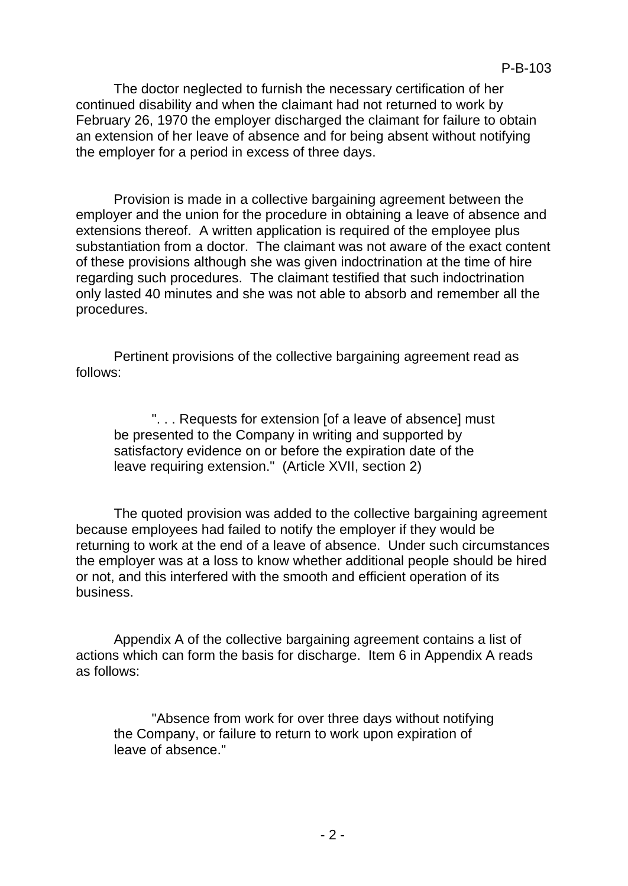The doctor neglected to furnish the necessary certification of her continued disability and when the claimant had not returned to work by February 26, 1970 the employer discharged the claimant for failure to obtain an extension of her leave of absence and for being absent without notifying the employer for a period in excess of three days.

Provision is made in a collective bargaining agreement between the employer and the union for the procedure in obtaining a leave of absence and extensions thereof. A written application is required of the employee plus substantiation from a doctor. The claimant was not aware of the exact content of these provisions although she was given indoctrination at the time of hire regarding such procedures. The claimant testified that such indoctrination only lasted 40 minutes and she was not able to absorb and remember all the procedures.

Pertinent provisions of the collective bargaining agreement read as follows:

". . . Requests for extension [of a leave of absence] must be presented to the Company in writing and supported by satisfactory evidence on or before the expiration date of the leave requiring extension." (Article XVII, section 2)

The quoted provision was added to the collective bargaining agreement because employees had failed to notify the employer if they would be returning to work at the end of a leave of absence. Under such circumstances the employer was at a loss to know whether additional people should be hired or not, and this interfered with the smooth and efficient operation of its business.

Appendix A of the collective bargaining agreement contains a list of actions which can form the basis for discharge. Item 6 in Appendix A reads as follows:

"Absence from work for over three days without notifying the Company, or failure to return to work upon expiration of leave of absence."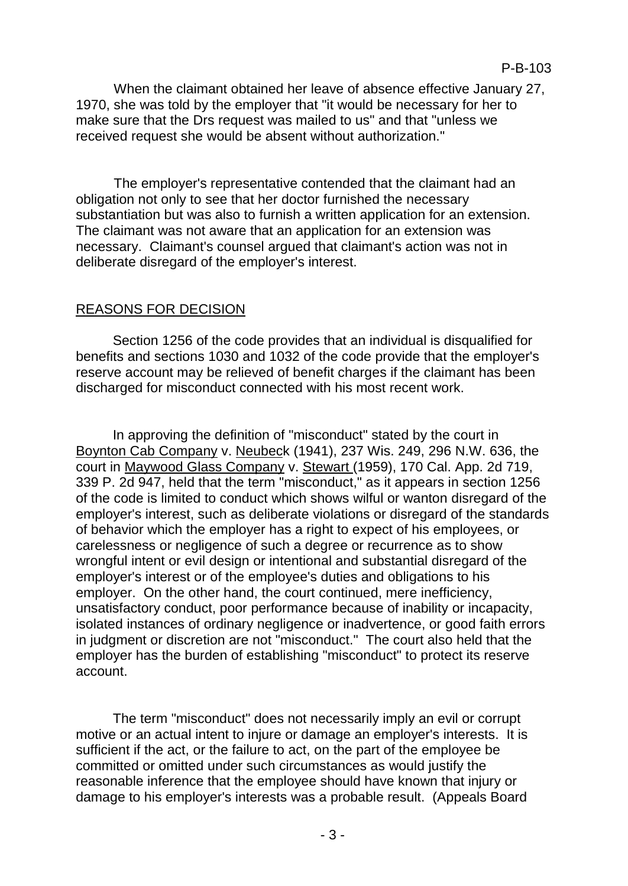When the claimant obtained her leave of absence effective January 27, 1970, she was told by the employer that "it would be necessary for her to make sure that the Drs request was mailed to us" and that "unless we received request she would be absent without authorization."

The employer's representative contended that the claimant had an obligation not only to see that her doctor furnished the necessary substantiation but was also to furnish a written application for an extension. The claimant was not aware that an application for an extension was necessary. Claimant's counsel argued that claimant's action was not in deliberate disregard of the employer's interest.

# REASONS FOR DECISION

Section 1256 of the code provides that an individual is disqualified for benefits and sections 1030 and 1032 of the code provide that the employer's reserve account may be relieved of benefit charges if the claimant has been discharged for misconduct connected with his most recent work.

In approving the definition of "misconduct" stated by the court in Boynton Cab Company v. Neubeck (1941), 237 Wis. 249, 296 N.W. 636, the court in Maywood Glass Company v. Stewart (1959), 170 Cal. App. 2d 719, 339 P. 2d 947, held that the term "misconduct," as it appears in section 1256 of the code is limited to conduct which shows wilful or wanton disregard of the employer's interest, such as deliberate violations or disregard of the standards of behavior which the employer has a right to expect of his employees, or carelessness or negligence of such a degree or recurrence as to show wrongful intent or evil design or intentional and substantial disregard of the employer's interest or of the employee's duties and obligations to his employer. On the other hand, the court continued, mere inefficiency, unsatisfactory conduct, poor performance because of inability or incapacity, isolated instances of ordinary negligence or inadvertence, or good faith errors in judgment or discretion are not "misconduct." The court also held that the employer has the burden of establishing "misconduct" to protect its reserve account.

The term "misconduct" does not necessarily imply an evil or corrupt motive or an actual intent to injure or damage an employer's interests. It is sufficient if the act, or the failure to act, on the part of the employee be committed or omitted under such circumstances as would justify the reasonable inference that the employee should have known that injury or damage to his employer's interests was a probable result. (Appeals Board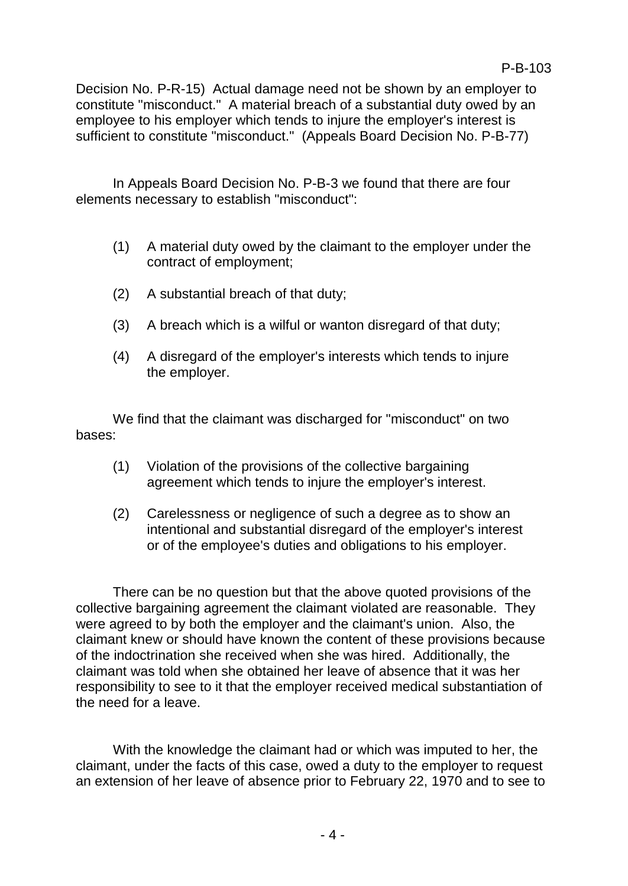Decision No. P-R-15) Actual damage need not be shown by an employer to constitute "misconduct." A material breach of a substantial duty owed by an employee to his employer which tends to injure the employer's interest is sufficient to constitute "misconduct." (Appeals Board Decision No. P-B-77)

In Appeals Board Decision No. P-B-3 we found that there are four elements necessary to establish "misconduct":

- (1) A material duty owed by the claimant to the employer under the contract of employment;
- (2) A substantial breach of that duty;
- (3) A breach which is a wilful or wanton disregard of that duty;
- (4) A disregard of the employer's interests which tends to injure the employer.

We find that the claimant was discharged for "misconduct" on two bases:

- (1) Violation of the provisions of the collective bargaining agreement which tends to injure the employer's interest.
- (2) Carelessness or negligence of such a degree as to show an intentional and substantial disregard of the employer's interest or of the employee's duties and obligations to his employer.

There can be no question but that the above quoted provisions of the collective bargaining agreement the claimant violated are reasonable. They were agreed to by both the employer and the claimant's union. Also, the claimant knew or should have known the content of these provisions because of the indoctrination she received when she was hired. Additionally, the claimant was told when she obtained her leave of absence that it was her responsibility to see to it that the employer received medical substantiation of the need for a leave.

With the knowledge the claimant had or which was imputed to her, the claimant, under the facts of this case, owed a duty to the employer to request an extension of her leave of absence prior to February 22, 1970 and to see to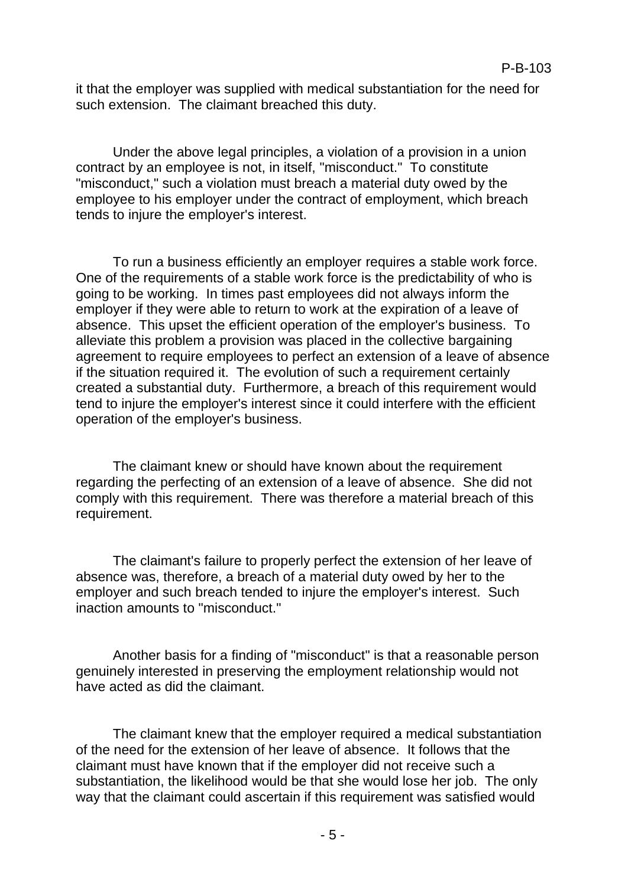it that the employer was supplied with medical substantiation for the need for such extension. The claimant breached this duty.

Under the above legal principles, a violation of a provision in a union contract by an employee is not, in itself, "misconduct." To constitute "misconduct," such a violation must breach a material duty owed by the employee to his employer under the contract of employment, which breach tends to injure the employer's interest.

To run a business efficiently an employer requires a stable work force. One of the requirements of a stable work force is the predictability of who is going to be working. In times past employees did not always inform the employer if they were able to return to work at the expiration of a leave of absence. This upset the efficient operation of the employer's business. To alleviate this problem a provision was placed in the collective bargaining agreement to require employees to perfect an extension of a leave of absence if the situation required it. The evolution of such a requirement certainly created a substantial duty. Furthermore, a breach of this requirement would tend to injure the employer's interest since it could interfere with the efficient operation of the employer's business.

The claimant knew or should have known about the requirement regarding the perfecting of an extension of a leave of absence. She did not comply with this requirement. There was therefore a material breach of this requirement.

The claimant's failure to properly perfect the extension of her leave of absence was, therefore, a breach of a material duty owed by her to the employer and such breach tended to injure the employer's interest. Such inaction amounts to "misconduct."

Another basis for a finding of "misconduct" is that a reasonable person genuinely interested in preserving the employment relationship would not have acted as did the claimant.

The claimant knew that the employer required a medical substantiation of the need for the extension of her leave of absence. It follows that the claimant must have known that if the employer did not receive such a substantiation, the likelihood would be that she would lose her job. The only way that the claimant could ascertain if this requirement was satisfied would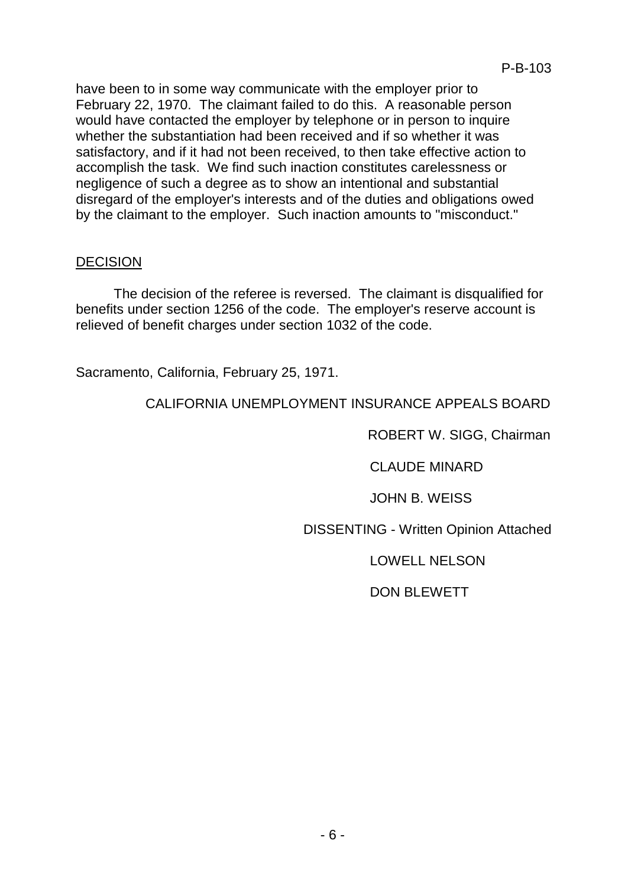have been to in some way communicate with the employer prior to February 22, 1970. The claimant failed to do this. A reasonable person would have contacted the employer by telephone or in person to inquire whether the substantiation had been received and if so whether it was satisfactory, and if it had not been received, to then take effective action to accomplish the task. We find such inaction constitutes carelessness or negligence of such a degree as to show an intentional and substantial disregard of the employer's interests and of the duties and obligations owed by the claimant to the employer. Such inaction amounts to "misconduct."

#### DECISION

The decision of the referee is reversed. The claimant is disqualified for benefits under section 1256 of the code. The employer's reserve account is relieved of benefit charges under section 1032 of the code.

Sacramento, California, February 25, 1971.

## CALIFORNIA UNEMPLOYMENT INSURANCE APPEALS BOARD

ROBERT W. SIGG, Chairman

CLAUDE MINARD

JOHN B. WEISS

DISSENTING - Written Opinion Attached

LOWELL NELSON

# DON BLEWETT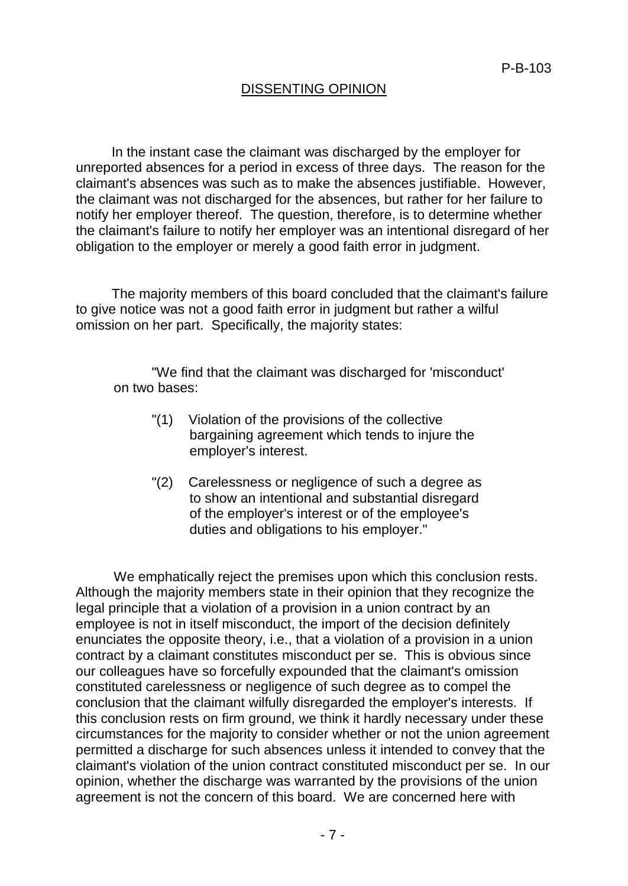## DISSENTING OPINION

In the instant case the claimant was discharged by the employer for unreported absences for a period in excess of three days. The reason for the claimant's absences was such as to make the absences justifiable. However, the claimant was not discharged for the absences, but rather for her failure to notify her employer thereof. The question, therefore, is to determine whether the claimant's failure to notify her employer was an intentional disregard of her obligation to the employer or merely a good faith error in judgment.

The majority members of this board concluded that the claimant's failure to give notice was not a good faith error in judgment but rather a wilful omission on her part. Specifically, the majority states:

"We find that the claimant was discharged for 'misconduct' on two bases:

- "(1) Violation of the provisions of the collective bargaining agreement which tends to injure the employer's interest.
- "(2) Carelessness or negligence of such a degree as to show an intentional and substantial disregard of the employer's interest or of the employee's duties and obligations to his employer."

We emphatically reject the premises upon which this conclusion rests. Although the majority members state in their opinion that they recognize the legal principle that a violation of a provision in a union contract by an employee is not in itself misconduct, the import of the decision definitely enunciates the opposite theory, i.e., that a violation of a provision in a union contract by a claimant constitutes misconduct per se. This is obvious since our colleagues have so forcefully expounded that the claimant's omission constituted carelessness or negligence of such degree as to compel the conclusion that the claimant wilfully disregarded the employer's interests. If this conclusion rests on firm ground, we think it hardly necessary under these circumstances for the majority to consider whether or not the union agreement permitted a discharge for such absences unless it intended to convey that the claimant's violation of the union contract constituted misconduct per se. In our opinion, whether the discharge was warranted by the provisions of the union agreement is not the concern of this board. We are concerned here with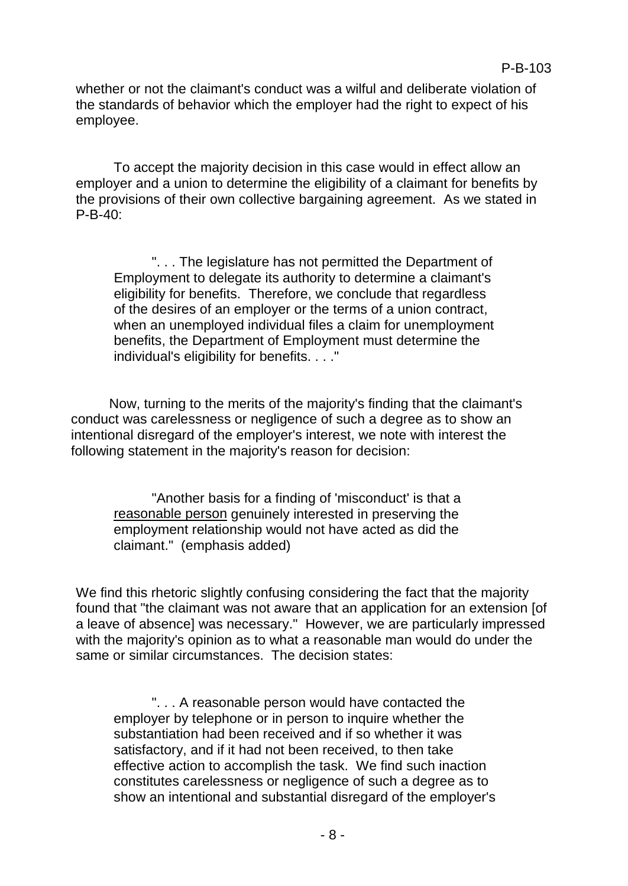whether or not the claimant's conduct was a wilful and deliberate violation of the standards of behavior which the employer had the right to expect of his employee.

To accept the majority decision in this case would in effect allow an employer and a union to determine the eligibility of a claimant for benefits by the provisions of their own collective bargaining agreement. As we stated in P-B-40:

". . . The legislature has not permitted the Department of Employment to delegate its authority to determine a claimant's eligibility for benefits. Therefore, we conclude that regardless of the desires of an employer or the terms of a union contract, when an unemployed individual files a claim for unemployment benefits, the Department of Employment must determine the individual's eligibility for benefits. . . ."

Now, turning to the merits of the majority's finding that the claimant's conduct was carelessness or negligence of such a degree as to show an intentional disregard of the employer's interest, we note with interest the following statement in the majority's reason for decision:

"Another basis for a finding of 'misconduct' is that a reasonable person genuinely interested in preserving the employment relationship would not have acted as did the claimant." (emphasis added)

We find this rhetoric slightly confusing considering the fact that the majority found that "the claimant was not aware that an application for an extension [of a leave of absence] was necessary." However, we are particularly impressed with the majority's opinion as to what a reasonable man would do under the same or similar circumstances. The decision states:

". . . A reasonable person would have contacted the employer by telephone or in person to inquire whether the substantiation had been received and if so whether it was satisfactory, and if it had not been received, to then take effective action to accomplish the task. We find such inaction constitutes carelessness or negligence of such a degree as to show an intentional and substantial disregard of the employer's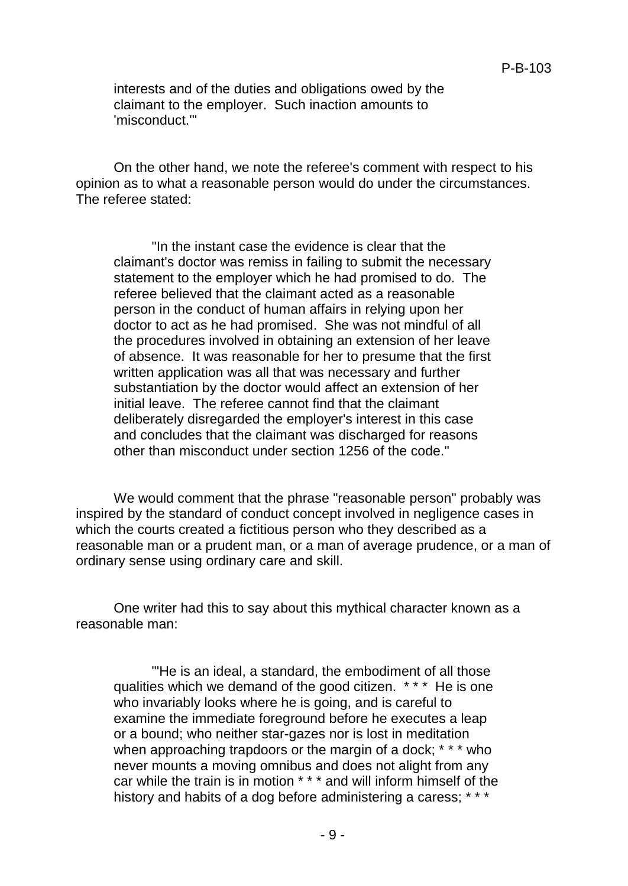interests and of the duties and obligations owed by the claimant to the employer. Such inaction amounts to 'misconduct.'"

On the other hand, we note the referee's comment with respect to his opinion as to what a reasonable person would do under the circumstances. The referee stated:

"In the instant case the evidence is clear that the claimant's doctor was remiss in failing to submit the necessary statement to the employer which he had promised to do. The referee believed that the claimant acted as a reasonable person in the conduct of human affairs in relying upon her doctor to act as he had promised. She was not mindful of all the procedures involved in obtaining an extension of her leave of absence. It was reasonable for her to presume that the first written application was all that was necessary and further substantiation by the doctor would affect an extension of her initial leave. The referee cannot find that the claimant deliberately disregarded the employer's interest in this case and concludes that the claimant was discharged for reasons other than misconduct under section 1256 of the code."

We would comment that the phrase "reasonable person" probably was inspired by the standard of conduct concept involved in negligence cases in which the courts created a fictitious person who they described as a reasonable man or a prudent man, or a man of average prudence, or a man of ordinary sense using ordinary care and skill.

One writer had this to say about this mythical character known as a reasonable man:

"'He is an ideal, a standard, the embodiment of all those qualities which we demand of the good citizen. \* \* \* He is one who invariably looks where he is going, and is careful to examine the immediate foreground before he executes a leap or a bound; who neither star-gazes nor is lost in meditation when approaching trapdoors or the margin of a dock; \* \* \* who never mounts a moving omnibus and does not alight from any car while the train is in motion \* \* \* and will inform himself of the history and habits of a dog before administering a caress; \*\*\*